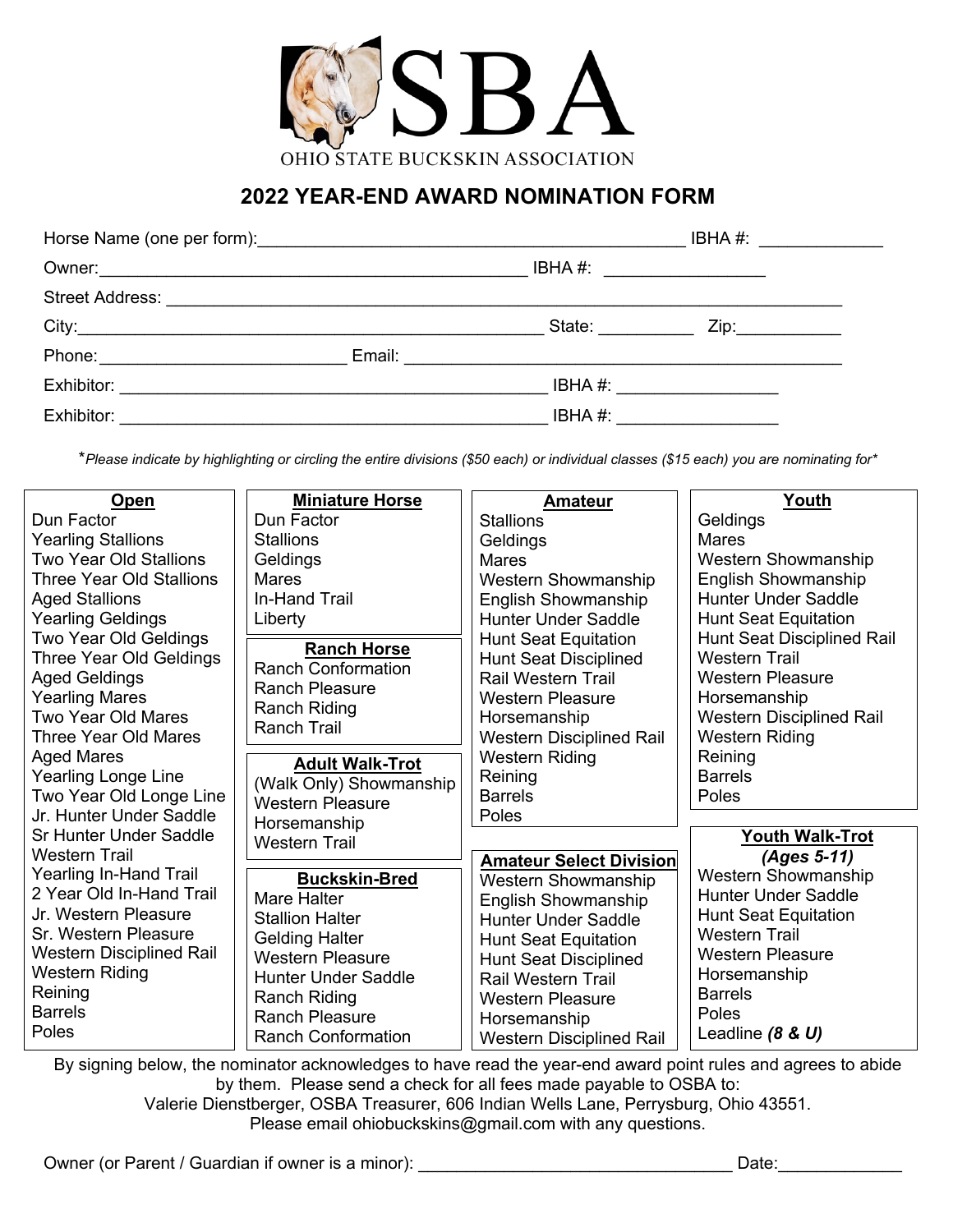

## **2022 YEAR-END AWARD NOMINATION FORM**

|                                                                          |  | IBHA #: $\qquad \qquad \qquad$                                                                                                                                                                                                 |                  |  |
|--------------------------------------------------------------------------|--|--------------------------------------------------------------------------------------------------------------------------------------------------------------------------------------------------------------------------------|------------------|--|
|                                                                          |  | IBHA #: _____________________                                                                                                                                                                                                  |                  |  |
|                                                                          |  |                                                                                                                                                                                                                                |                  |  |
|                                                                          |  | State: and the state of the state of the state of the state of the state of the state of the state of the state of the state of the state of the state of the state of the state of the state of the state of the state of the | Zip:____________ |  |
|                                                                          |  |                                                                                                                                                                                                                                |                  |  |
| Exhibitor:<br><u> 1980 - Andrea Aonaichte ann an Cathracha ann an t-</u> |  |                                                                                                                                                                                                                                | IBHA #:          |  |
| Exhibitor:                                                               |  | IBHA#:                                                                                                                                                                                                                         |                  |  |

\**Please indicate by highlighting or circling the entire divisions (\$50 each) or individual classes (\$15 each) you are nominating for\**

| Open                                               | <b>Miniature Horse</b>     | <b>Amateur</b>                  | <b>Youth</b>                                        |
|----------------------------------------------------|----------------------------|---------------------------------|-----------------------------------------------------|
| Dun Factor                                         | Dun Factor                 | Stallions                       | Geldings                                            |
| <b>Yearling Stallions</b>                          | <b>Stallions</b>           | Geldings                        | <b>Mares</b>                                        |
| <b>Two Year Old Stallions</b>                      | Geldings                   | <b>Mares</b>                    | Western Showmanship                                 |
| Three Year Old Stallions                           | Mares                      | Western Showmanship             | <b>English Showmanship</b>                          |
| <b>Aged Stallions</b>                              | <b>In-Hand Trail</b>       | <b>English Showmanship</b>      | <b>Hunter Under Saddle</b>                          |
| <b>Yearling Geldings</b>                           | Liberty                    | <b>Hunter Under Saddle</b>      | <b>Hunt Seat Equitation</b>                         |
| Two Year Old Geldings                              | <b>Ranch Horse</b>         | <b>Hunt Seat Equitation</b>     | <b>Hunt Seat Disciplined Rail</b>                   |
| Three Year Old Geldings                            | <b>Ranch Conformation</b>  | <b>Hunt Seat Disciplined</b>    | <b>Western Trail</b>                                |
| <b>Aged Geldings</b>                               | <b>Ranch Pleasure</b>      | <b>Rail Western Trail</b>       | Western Pleasure                                    |
| <b>Yearling Mares</b>                              | <b>Ranch Riding</b>        | <b>Western Pleasure</b>         | Horsemanship                                        |
| Two Year Old Mares                                 | <b>Ranch Trail</b>         | Horsemanship                    | Western Disciplined Rail                            |
| Three Year Old Mares                               |                            | <b>Western Disciplined Rail</b> | <b>Western Riding</b>                               |
| <b>Aged Mares</b>                                  | <b>Adult Walk-Trot</b>     | <b>Western Riding</b>           | Reining                                             |
| <b>Yearling Longe Line</b>                         | (Walk Only) Showmanship    | Reining                         | <b>Barrels</b>                                      |
| Two Year Old Longe Line                            | <b>Western Pleasure</b>    | <b>Barrels</b>                  | Poles                                               |
| Jr. Hunter Under Saddle                            | Horsemanship               | Poles                           |                                                     |
| Sr Hunter Under Saddle                             | <b>Western Trail</b>       |                                 | <b>Youth Walk-Trot</b>                              |
| <b>Western Trail</b>                               |                            | <b>Amateur Select Division</b>  | (Ages 5-11)                                         |
| Yearling In-Hand Trail<br>2 Year Old In-Hand Trail | <b>Buckskin-Bred</b>       | <b>Western Showmanship</b>      | Western Showmanship                                 |
| Jr. Western Pleasure                               | <b>Mare Halter</b>         | English Showmanship             | <b>Hunter Under Saddle</b>                          |
| Sr. Western Pleasure                               | <b>Stallion Halter</b>     | <b>Hunter Under Saddle</b>      | <b>Hunt Seat Equitation</b><br><b>Western Trail</b> |
| Western Disciplined Rail                           | <b>Gelding Halter</b>      | <b>Hunt Seat Equitation</b>     | Western Pleasure                                    |
| Western Riding                                     | <b>Western Pleasure</b>    | <b>Hunt Seat Disciplined</b>    |                                                     |
| Reining                                            | <b>Hunter Under Saddle</b> | <b>Rail Western Trail</b>       | Horsemanship<br><b>Barrels</b>                      |
| <b>Barrels</b>                                     | <b>Ranch Riding</b>        | Western Pleasure                | Poles                                               |
| Poles                                              | <b>Ranch Pleasure</b>      | Horsemanship                    | Leadline $(8 & U)$                                  |
|                                                    | <b>Ranch Conformation</b>  | <b>Western Disciplined Rail</b> |                                                     |

By signing below, the nominator acknowledges to have read the year-end award point rules and agrees to abide by them. Please send a check for all fees made payable to OSBA to:

Valerie Dienstberger, OSBA Treasurer, 606 Indian Wells Lane, Perrysburg, Ohio 43551. Please email ohiobuckskins@gmail.com with any questions.

Owner (or Parent / Guardian if owner is a minor): <br>
Date: